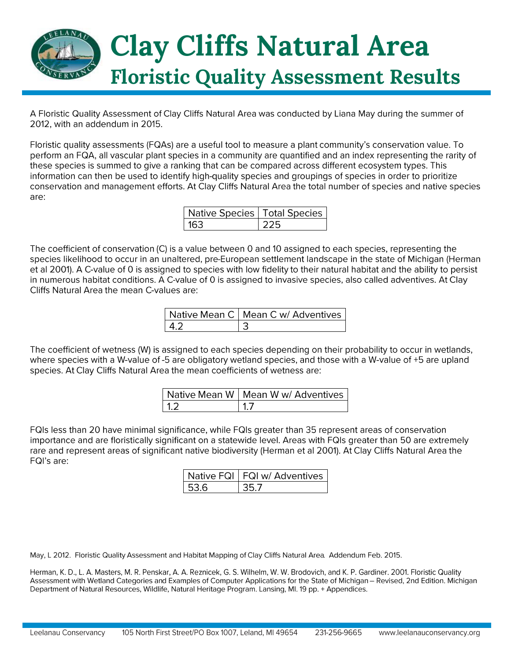

A Floristic Quality Assessment of Clay Cliffs Natural Area was conducted by Liana May during the summer of 2012, with an addendum in 2015.

Floristic quality assessments (FQAs) are a useful tool to measure a plant community's conservation value. To perform an FQA, all vascular plant species in a community are quantified and an index representing the rarity of these species is summed to give a ranking that can be compared across different ecosystem types. This information can then be used to identify high-quality species and groupings of species in order to prioritize conservation and management efforts. At Clay Cliffs Natural Area the total number of species and native species are:

| Native Species   Total Species |  |
|--------------------------------|--|
|                                |  |

The coefficient of conservation (C) is a value between 0 and 10 assigned to each species, representing the species likelihood to occur in an unaltered, pre-European settlement landscape in the state of Michigan (Herman et al 2001). A C-value of 0 is assigned to species with low fidelity to their natural habitat and the ability to persist in numerous habitat conditions. A C-value of 0 is assigned to invasive species, also called adventives. At Clay Cliffs Natural Area the mean C-values are:

|            | Native Mean C   Mean C w/ Adventives |
|------------|--------------------------------------|
| $\sqrt{ }$ |                                      |

The coefficient of wetness (W) is assigned to each species depending on their probability to occur in wetlands, where species with a W-value of -5 are obligatory wetland species, and those with a W-value of +5 are upland species. At Clay Cliffs Natural Area the mean coefficients of wetness are:

| Native Mean W   Mean W w/ Adventives |
|--------------------------------------|
|                                      |

FQIs less than 20 have minimal significance, while FQIs greater than 35 represent areas of conservation importance and are floristically significant on a statewide level. Areas with FQIs greater than 50 are extremely rare and represent areas of significant native biodiversity (Herman et al 2001). At Clay Cliffs Natural Area the FQI's are:

|      | Native FQI   FQI w/ Adventives |
|------|--------------------------------|
| 53 R |                                |

May, L 2012. Floristic Quality Assessment and Habitat Mapping of Clay Cliffs Natural Area. Addendum Feb. 2015.

Herman, K. D., L. A. Masters, M. R. Penskar, A. A. Reznicek, G. S. Wilhelm, W. W. Brodovich, and K. P. Gardiner. 2001. Floristic Quality Assessment with Wetland Categories and Examples of Computer Applications for the State of Michigan - Revised, 2nd Edition. Michigan Department of Natural Resources, Wildlife, Natural Heritage Program. Lansing, MI. 19 pp. + Appendices.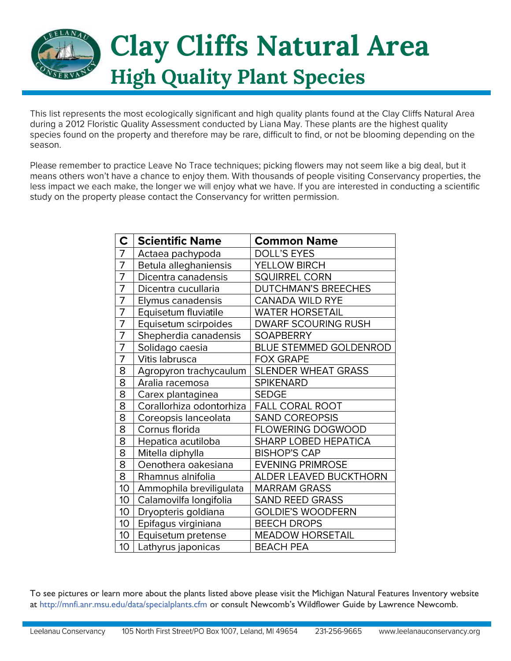

This list represents the most ecologically significant and high quality plants found at the Clay Cliffs Natural Area during a 2012 Floristic Quality Assessment conducted by Liana May. These plants are the highest quality species found on the property and therefore may be rare, difficult to find, or not be blooming depending on the season.

Please remember to practice Leave No Trace techniques; picking flowers may not seem like a big deal, but it means others won't have a chance to enjoy them. With thousands of people visiting Conservancy properties, the less impact we each make, the longer we will enjoy what we have. If you are interested in conducting a scientific study on the property please contact the Conservancy for written permission.

| $\mathbf C$     | <b>Scientific Name</b>   | <b>Common Name</b>            |
|-----------------|--------------------------|-------------------------------|
| $\overline{7}$  | Actaea pachypoda         | <b>DOLL'S EYES</b>            |
| $\overline{7}$  | Betula alleghaniensis    | YELLOW BIRCH                  |
| $\overline{7}$  | Dicentra canadensis      | <b>SQUIRREL CORN</b>          |
| $\overline{7}$  | Dicentra cucullaria      | <b>DUTCHMAN'S BREECHES</b>    |
| $\overline{7}$  | Elymus canadensis        | <b>CANADA WILD RYE</b>        |
| $\overline{7}$  | Equisetum fluviatile     | <b>WATER HORSETAIL</b>        |
| $\overline{7}$  | Equisetum scirpoides     | <b>DWARF SCOURING RUSH</b>    |
| $\overline{7}$  | Shepherdia canadensis    | <b>SOAPBERRY</b>              |
| $\overline{7}$  | Solidago caesia          | BLUE STEMMED GOLDENROD        |
| $\overline{7}$  | Vitis labrusca           | <b>FOX GRAPE</b>              |
| 8               | Agropyron trachycaulum   | <b>SLENDER WHEAT GRASS</b>    |
| 8               | Aralia racemosa          | <b>SPIKENARD</b>              |
| 8               | Carex plantaginea        | <b>SEDGE</b>                  |
| 8               | Corallorhiza odontorhiza | <b>FALL CORAL ROOT</b>        |
| 8               | Coreopsis lanceolata     | <b>SAND COREOPSIS</b>         |
| 8               | Cornus florida           | <b>FLOWERING DOGWOOD</b>      |
| 8               | Hepatica acutiloba       | <b>SHARP LOBED HEPATICA</b>   |
| 8               | Mitella diphylla         | <b>BISHOP'S CAP</b>           |
| 8               | Oenothera oakesiana      | <b>EVENING PRIMROSE</b>       |
| 8               | Rhamnus alnifolia        | <b>ALDER LEAVED BUCKTHORN</b> |
| 10              | Ammophila breviligulata  | <b>MARRAM GRASS</b>           |
| 10              | Calamovilfa longifolia   | <b>SAND REED GRASS</b>        |
| 10              | Dryopteris goldiana      | <b>GOLDIE'S WOODFERN</b>      |
| 10              | Epifagus virginiana      | <b>BEECH DROPS</b>            |
| 10 <sup>°</sup> | Equisetum pretense       | <b>MEADOW HORSETAIL</b>       |
| 10 <sup>°</sup> | Lathyrus japonicas       | <b>BEACH PEA</b>              |

To see pictures or learn more about the plants listed above please visit the Michigan Natural Features Inventory website at http://mnfi.anr.msu.edu/data/specialplants.cfm or consult Newcomb's Wildflower Guide by Lawrence Newcomb.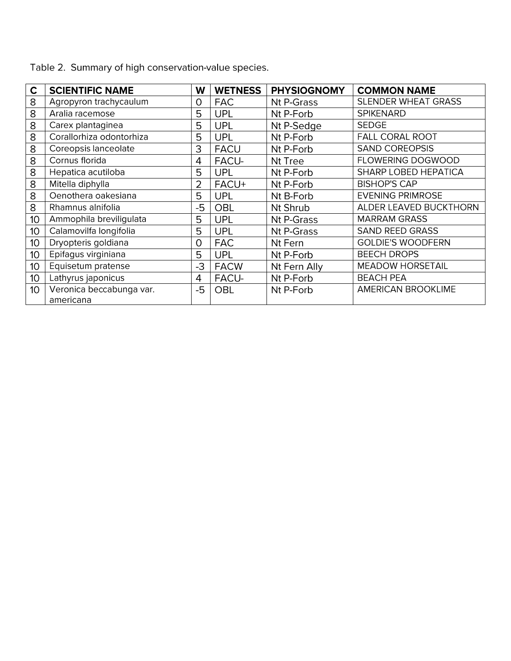| $\mathbf c$     | <b>SCIENTIFIC NAME</b>                | W              | <b>WETNESS</b> | <b>PHYSIOGNOMY</b> | <b>COMMON NAME</b>          |
|-----------------|---------------------------------------|----------------|----------------|--------------------|-----------------------------|
| 8               | Agropyron trachycaulum                | 0              | <b>FAC</b>     | Nt P-Grass         | <b>SLENDER WHEAT GRASS</b>  |
| 8               | Aralia racemose                       | 5              | <b>UPL</b>     | Nt P-Forb          | <b>SPIKENARD</b>            |
| 8               | Carex plantaginea                     | 5              | <b>UPL</b>     | Nt P-Sedge         | <b>SEDGE</b>                |
| 8               | Corallorhiza odontorhiza              | 5              | <b>UPL</b>     | Nt P-Forb          | <b>FALL CORAL ROOT</b>      |
| 8               | Coreopsis lanceolate                  | 3              | <b>FACU</b>    | Nt P-Forb          | <b>SAND COREOPSIS</b>       |
| 8               | Cornus florida                        | 4              | FACU-          | Nt Tree            | FLOWERING DOGWOOD           |
| 8               | Hepatica acutiloba                    | 5              | <b>UPL</b>     | Nt P-Forb          | <b>SHARP LOBED HEPATICA</b> |
| 8               | Mitella diphylla                      | $\overline{2}$ | FACU+          | Nt P-Forb          | <b>BISHOP'S CAP</b>         |
| 8               | Oenothera oakesiana                   | 5              | <b>UPL</b>     | Nt B-Forb          | <b>EVENING PRIMROSE</b>     |
| 8               | Rhamnus alnifolia                     | -5             | <b>OBL</b>     | Nt Shrub           | ALDER LEAVED BUCKTHORN      |
| 10              | Ammophila breviliqulata               | 5              | <b>UPL</b>     | Nt P-Grass         | <b>MARRAM GRASS</b>         |
| 10              | Calamovilfa longifolia                | 5              | <b>UPL</b>     | Nt P-Grass         | <b>SAND REED GRASS</b>      |
| 10              | Dryopteris goldiana                   | 0              | <b>FAC</b>     | Nt Fern            | <b>GOLDIE'S WOODFERN</b>    |
| 10              | Epifagus virginiana                   | 5              | <b>UPL</b>     | Nt P-Forb          | <b>BEECH DROPS</b>          |
| 10 <sup>°</sup> | Equisetum pratense                    | -3             | <b>FACW</b>    | Nt Fern Ally       | <b>MEADOW HORSETAIL</b>     |
| 10              | Lathyrus japonicus                    | 4              | FACU-          | Nt P-Forb          | <b>BEACH PEA</b>            |
| 10 <sup>°</sup> | Veronica beccabunga var.<br>americana | -5             | <b>OBL</b>     | Nt P-Forb          | <b>AMERICAN BROOKLIME</b>   |

Table 2. Summary of high conservation-value species.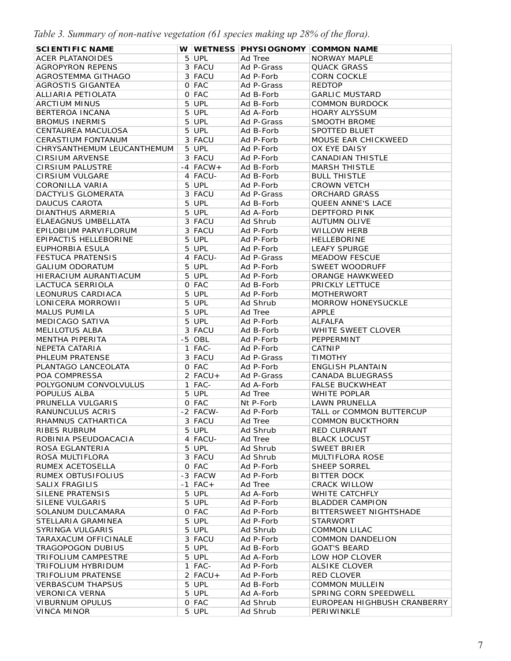*Table 3. Summary of non-native vegetation (61 species making up 28% of the flora).*

| SCIENTIFIC NAME              |            | W   WETNESS   PHYSI OGNOMY   COMMON NAME |                               |
|------------------------------|------------|------------------------------------------|-------------------------------|
| ACER PLATANOIDES             | 5 UPL      | Ad Tree                                  | <b>NORWAY MAPLE</b>           |
| <b>AGROPYRON REPENS</b>      | 3 FACU     | Ad P-Grass                               | <b>QUACK GRASS</b>            |
| <b>AGROSTEMMA GITHAGO</b>    | 3 FACU     | Ad P-Forb                                | <b>CORN COCKLE</b>            |
| <b>AGROSTIS GIGANTEA</b>     | 0 FAC      | Ad P-Grass                               | <b>REDTOP</b>                 |
| ALLIARIA PETIOLATA           | 0 FAC      | Ad B-Forb                                | <b>GARLIC MUSTARD</b>         |
| <b>ARCTIUM MINUS</b>         | $5$ UPL    | Ad B-Forb                                | <b>COMMON BURDOCK</b>         |
|                              | $5$ UPL    |                                          |                               |
| BERTEROA INCANA              |            | Ad A-Forb                                | <b>HOARY ALYSSUM</b>          |
| <b>BROMUS INERMIS</b>        | $5$ UPL    | Ad P-Grass                               | SMOOTH BROME                  |
| <b>CENTAUREA MACULOSA</b>    | $5$ UPL    | Ad B-Forb                                | SPOTTED BLUET                 |
| <b>CERASTIUM FONTANUM</b>    | 3 FACU     | Ad P-Forb                                | <b>MOUSE EAR CHICKWEED</b>    |
| CHRYSANTHEMUM LEUCANTHEMUM   | $5$ UPL    | Ad P-Forb                                | OX EYE DAISY                  |
| <b>CIRSIUM ARVENSE</b>       | 3 FACU     | Ad P-Forb                                | <b>CANADIAN THISTLE</b>       |
| CIRSIUM PALUSTRE             | $-4$ FACW+ | Ad B-Forb                                | <b>MARSH THISTLE</b>          |
| <b>CIRSIUM VULGARE</b>       | 4 FACU-    | Ad B-Forb                                | <b>BULL THISTLE</b>           |
| CORONILLA VARIA              | $5$ UPL    | Ad P-Forb                                | <b>CROWN VETCH</b>            |
| DACTYLIS GLOMERATA           | 3 FACU     | Ad P-Grass                               | <b>ORCHARD GRASS</b>          |
| DAUCUS CAROTA                | $5$ UPL    | Ad B-Forb                                | <b>QUEEN ANNE'S LACE</b>      |
| <b>DIANTHUS ARMERIA</b>      | $5$ UPL    | Ad A-Forb                                | <b>DEPTFORD PINK</b>          |
| ELAEAGNUS UMBELLATA          | 3 FACU     | Ad Shrub                                 | <b>AUTUMN OLIVE</b>           |
| EPILOBIUM PARVIFLORUM        | 3 FACU     | Ad P-Forb                                | <b>WILLOW HERB</b>            |
| <b>EPIPACTIS HELLEBORINE</b> | $5$ UPL    | Ad P-Forb                                | <b>HELLEBORINE</b>            |
| EUPHORBIA ESULA              | $5$ UPL    | Ad P-Forb                                | <b>LEAFY SPURGE</b>           |
| <b>FESTUCA PRATENSIS</b>     | $4$ FACU-  | Ad P-Grass                               | <b>MEADOW FESCUE</b>          |
| <b>GALIUM ODORATUM</b>       | $5$ UPL    | Ad P-Forb                                | SWEET WOODRUFF                |
| HIERACIUM AURANTIACUM        | $5$ UPL    | Ad P-Forb                                | <b>ORANGE HAWKWEED</b>        |
| LACTUCA SERRIOLA             | 0 FAC      | Ad B-Forb                                | <b>PRICKLY LETTUCE</b>        |
| <b>LEONURUS CARDIACA</b>     | $5$ UPL    | Ad P-Forb                                | <b>MOTHERWORT</b>             |
| LONICERA MORROWII            | $5$ UPL    | Ad Shrub                                 | <b>MORROW HONEYSUCKLE</b>     |
| <b>MALUS PUMILA</b>          | $5$ UPL    | Ad Tree                                  | APPLE                         |
| MEDICAGO SATIVA              | $5$ UPL    | Ad P-Forb                                | ALFALFA                       |
| <b>MELILOTUS ALBA</b>        | 3 FACU     | Ad B-Forb                                | WHITE SWEET CLOVER            |
| MENTHA PIPERITA              | $-5$ OBL   | Ad P-Forb                                | PEPPERMINT                    |
| NEPETA CATARIA               | $1$ FAC-   | Ad P-Forb                                | CATNIP                        |
| PHLEUM PRATENSE              | 3 FACU     | Ad P-Grass                               | <b>TIMOTHY</b>                |
| PLANTAGO LANCEOLATA          | 0 FAC      | Ad P-Forb                                | <b>ENGLISH PLANTAIN</b>       |
| POA COMPRESSA                | $2$ FACU+  | Ad P-Grass                               | CANADA BLUEGRASS              |
| POLYGONUM CONVOLVULUS        | $1$ FAC-   | Ad A-Forb                                | <b>FALSE BUCKWHEAT</b>        |
| <b>POPULUS ALBA</b>          | $5$ UPL    | Ad Tree                                  | <b>WHITE POPLAR</b>           |
| PRUNELLA VULGARIS            | 0 FAC      | Nt P-Forb                                | <b>LAWN PRUNELLA</b>          |
| <b>RANUNCULUS ACRIS</b>      | $-2$ FACW- | Ad P-Forb                                | TALL or COMMON BUTTERCUP      |
| RHAMNUS CATHARTICA           | 3 FACU     | Ad Tree                                  | <b>COMMON BUCKTHORN</b>       |
| <b>RIBES RUBRUM</b>          | $5$ UPL    | Ad Shrub                                 | <b>RED CURRANT</b>            |
| ROBINIA PSEUDOACACIA         | $4$ FACU-  | Ad Tree                                  | <b>BLACK LOCUST</b>           |
| ROSA EGLANTERIA              | $5$ UPL    | Ad Shrub                                 | <b>SWEET BRIER</b>            |
| ROSA MULTIFLORA              | 3 FACU     | Ad Shrub                                 | <b>MULTIFLORA ROSE</b>        |
| RUMEX ACETOSELLA             | $0$ FAC    | Ad P-Forb                                | <b>SHEEP SORREL</b>           |
| RUMEX OBTUSIFOLIUS           | $-3$ FACW  | Ad P-Forb                                | <b>BITTER DOCK</b>            |
| <b>SALIX FRAGILIS</b>        | -1   FAC + | Ad Tree                                  | <b>CRACK WILLOW</b>           |
| SILENE PRATENSIS             | $5$ UPL    | Ad A-Forb                                | WHITE CATCHFLY                |
| SILENE VULGARIS              | $5$ UPL    | Ad P-Forb                                | <b>BLADDER CAMPION</b>        |
| SOLANUM DULCAMARA            | $0$ FAC    | Ad P-Forb                                | <b>BITTERSWEET NIGHTSHADE</b> |
| STELLARIA GRAMINEA           | $5$ UPL    | Ad P-Forb                                | <b>STARWORT</b>               |
| SYRINGA VULGARIS             | $5$ UPL    | Ad Shrub                                 | <b>COMMON LILAC</b>           |
| TARAXACUM OFFICINALE         | 3 FACU     | Ad P-Forb                                | <b>COMMON DANDELION</b>       |
| TRAGOPOGON DUBIUS            | $5$ UPL    | Ad B-Forb                                | <b>GOAT'S BEARD</b>           |
| <b>TRIFOLIUM CAMPESTRE</b>   | $5$ UPL    | Ad A-Forb                                | LOW HOP CLOVER                |
| TRIFOLIUM HYBRIDUM           | $1$ FAC-   | Ad P-Forb                                | <b>ALSIKE CLOVER</b>          |
| TRIFOLIUM PRATENSE           | $2$ FACU+  | Ad P-Forb                                | <b>RED CLOVER</b>             |
| <b>VERBASCUM THAPSUS</b>     | $5$ UPL    | Ad B-Forb                                | <b>COMMON MULLEIN</b>         |
| <b>VERONICA VERNA</b>        | $5$ UPL    | Ad A-Forb                                | SPRING CORN SPEEDWELL         |
| <b>VIBURNUM OPULUS</b>       | $0$ FAC    | Ad Shrub                                 | EUROPEAN HIGHBUSH CRANBERRY   |
| <b>VINCA MINOR</b>           | $5$ UPL    | Ad Shrub                                 | PERIWINKLE                    |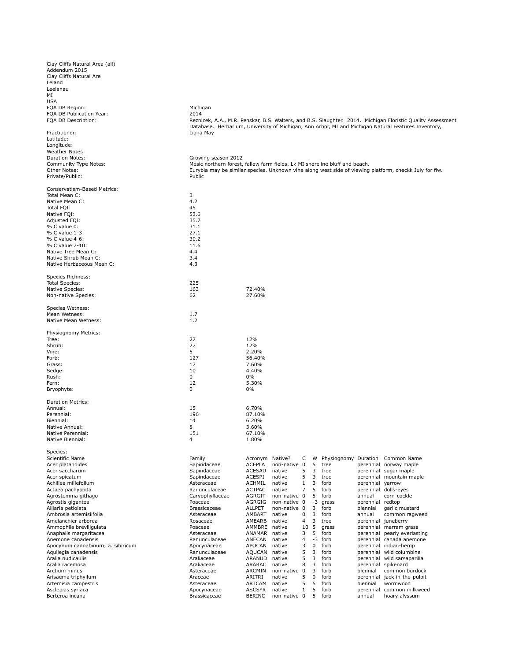| Clay Cliffs Natural Area (all)                            |                              |                                                                                                                                                 |
|-----------------------------------------------------------|------------------------------|-------------------------------------------------------------------------------------------------------------------------------------------------|
| Addendum 2015<br>Clay Cliffs Natural Are                  |                              |                                                                                                                                                 |
| Leland                                                    |                              |                                                                                                                                                 |
| Leelanau                                                  |                              |                                                                                                                                                 |
| MI                                                        |                              |                                                                                                                                                 |
| <b>USA</b>                                                |                              |                                                                                                                                                 |
| FQA DB Region:<br>FQA DB Publication Year:                | Michigan<br>2014             |                                                                                                                                                 |
| FQA DB Description:                                       |                              | Reznicek, A.A., M.R. Penskar, B.S. Walters, and B.S. Slaughter. 2014. Michigan Floristic Quality Assessment                                     |
|                                                           |                              | Database. Herbarium, University of Michigan, Ann Arbor, MI and Michigan Natural Features Inventory,                                             |
| Practitioner:                                             | Liana May                    |                                                                                                                                                 |
| Latitude:                                                 |                              |                                                                                                                                                 |
| Longitude:                                                |                              |                                                                                                                                                 |
| Weather Notes:<br><b>Duration Notes:</b>                  | Growing season 2012          |                                                                                                                                                 |
| Community Type Notes:                                     |                              | Mesic northern forest, fallow farm fields, Lk MI shoreline bluff and beach.                                                                     |
| Other Notes:                                              |                              | Eurybia may be similar species. Unknown vine along west side of viewing platform, checkk July for flw.                                          |
| Private/Public:                                           | Public                       |                                                                                                                                                 |
|                                                           |                              |                                                                                                                                                 |
| Conservatism-Based Metrics:<br>Total Mean C:              | 3                            |                                                                                                                                                 |
| Native Mean C:                                            | 4.2                          |                                                                                                                                                 |
| Total FQI:                                                | 45                           |                                                                                                                                                 |
| Native FQI:                                               | 53.6                         |                                                                                                                                                 |
| Adjusted FQI:                                             | 35.7                         |                                                                                                                                                 |
| % C value 0:                                              | 31.1<br>27.1                 |                                                                                                                                                 |
| % C value 1-3:<br>% C value 4-6:                          | 30.2                         |                                                                                                                                                 |
| % C value 7-10:                                           | 11.6                         |                                                                                                                                                 |
| Native Tree Mean C:                                       | 4.4                          |                                                                                                                                                 |
| Native Shrub Mean C:                                      | 3.4                          |                                                                                                                                                 |
| Native Herbaceous Mean C:                                 | 4.3                          |                                                                                                                                                 |
| Species Richness:                                         |                              |                                                                                                                                                 |
| <b>Total Species:</b>                                     | 225                          |                                                                                                                                                 |
| Native Species:                                           | 163                          | 72.40%                                                                                                                                          |
| Non-native Species:                                       | 62                           | 27.60%                                                                                                                                          |
|                                                           |                              |                                                                                                                                                 |
| Species Wetness:<br>Mean Wetness:                         | 1.7                          |                                                                                                                                                 |
| Native Mean Wetness:                                      | 1.2                          |                                                                                                                                                 |
|                                                           |                              |                                                                                                                                                 |
| Physiognomy Metrics:                                      |                              |                                                                                                                                                 |
| Tree:                                                     | 27                           | 12%                                                                                                                                             |
| Shrub:<br>Vine:                                           | 27<br>5                      | 12%<br>2.20%                                                                                                                                    |
| Forb:                                                     | 127                          | 56.40%                                                                                                                                          |
| Grass:                                                    | 17                           | 7.60%                                                                                                                                           |
| Sedge:                                                    | 10                           | 4.40%                                                                                                                                           |
| Rush:                                                     | $\mathbf 0$                  | $0\%$                                                                                                                                           |
| Fern:<br>Bryophyte:                                       | 12<br>$\mathbf 0$            | 5.30%<br>$0\%$                                                                                                                                  |
|                                                           |                              |                                                                                                                                                 |
| <b>Duration Metrics:</b>                                  |                              |                                                                                                                                                 |
| Annual:                                                   | 15                           | 6.70%                                                                                                                                           |
| Perennial:                                                | 196                          | 87.10%                                                                                                                                          |
| Biennial:<br>Native Annual:                               | 14<br>8                      | 6.20%<br>3.60%                                                                                                                                  |
| Native Perennial:                                         | 151                          | 67.10%                                                                                                                                          |
| Native Biennial:                                          | 4                            | 1.80%                                                                                                                                           |
|                                                           |                              |                                                                                                                                                 |
| Species:                                                  |                              |                                                                                                                                                 |
| Scientific Name<br>Acer platanoides                       | Family<br>Sapindaceae        | Acronym Native?<br>C<br>W<br>Physiognomy<br>Duration<br>Common Name<br><b>ACEPLA</b><br>non-native 0<br>5<br>tree<br>perennial norway maple     |
| Acer saccharum                                            | Sapindaceae                  | 5<br>3<br>ACESAU<br>native<br>tree<br>perennial sugar maple                                                                                     |
| Acer spicatum                                             | Sapindaceae                  | 5<br>ACESPI<br>3<br>perennial mountain maple<br>native<br>tree                                                                                  |
| Achillea millefolium                                      | Asteraceae                   | $\mathbf{1}$<br>ACHMIL<br>native<br>3<br>forb<br>perennial yarrow                                                                               |
| Actaea pachypoda                                          | Ranunculaceae                | <b>ACTPAC</b><br>7<br>5<br>native<br>forb<br>perennial dolls-eyes                                                                               |
| Agrostemma githago                                        | Caryophyllaceae              | 5<br>corn-cockle<br>AGRGIT<br>non-native 0<br>forb<br>annual                                                                                    |
| Agrostis gigantea<br>Alliaria petiolata                   | Poaceae<br>Brassicaceae      | AGRGIG<br>non-native 0<br>$-3$<br>grass<br>perennial redtop<br>3<br>garlic mustard<br><b>ALLPET</b><br>non-native 0<br>forb<br>biennial         |
| Ambrosia artemisiifolia                                   | Asteraceae                   | AMBART<br>0<br>3<br>common ragweed<br>native<br>forb<br>annual                                                                                  |
| Amelanchier arborea                                       | Rosaceae                     | 4<br>3<br>AMEARB<br>native<br>tree<br>perennial juneberry                                                                                       |
| Ammophila breviligulata                                   | Poaceae                      | 5<br>AMMBRE native<br>10<br>grass<br>perennial marram grass                                                                                     |
| Anaphalis margaritacea                                    | Asteraceae                   | 5<br>ANAMAR native<br>3<br>forb<br>perennial pearly everlasting                                                                                 |
| Anemone canadensis                                        | Ranunculaceae                | ANECAN<br>perennial canada anemone<br>native<br>4<br>$-3$<br>forb<br>3                                                                          |
| Apocynum cannabinum; a. sibiricum<br>Aquilegia canadensis | Apocynaceae<br>Ranunculaceae | APOCAN<br>native<br>0<br>forb<br>perennial indian-hemp<br>5<br>AQUCAN native<br>3<br>forb<br>perennial wild columbine                           |
| Aralia nudicaulis                                         | Araliaceae                   | 5<br>ARANUD<br>3<br>native<br>forb<br>perennial wild sarsaparilla                                                                               |
| Aralia racemosa                                           | Araliaceae                   | ARARAC<br>8<br>3<br>native<br>forb<br>perennial spikenard                                                                                       |
| Arctium minus                                             | Asteraceae                   | ARCMIN<br>3<br>non-native 0<br>forb<br>biennial<br>common burdock                                                                               |
| Arisaema triphyllum                                       | Araceae                      | 5<br>0<br>ARITRI<br>native<br>forb<br>perennial jack-in-the-pulpit                                                                              |
| Artemisia campestris<br>Asclepias syriaca                 | Asteraceae<br>Apocynaceae    | 5<br>5<br>ARTCAM<br>native<br>forb<br>biennial<br>wormwood<br><b>ASCSYR</b><br>$\mathbf{1}$<br>5<br>native<br>forb<br>perennial common milkweed |
| Berteroa incana                                           | Brassicaceae                 | non-native 0 5<br><b>BERINC</b><br>forb<br>annual<br>hoary alyssum                                                                              |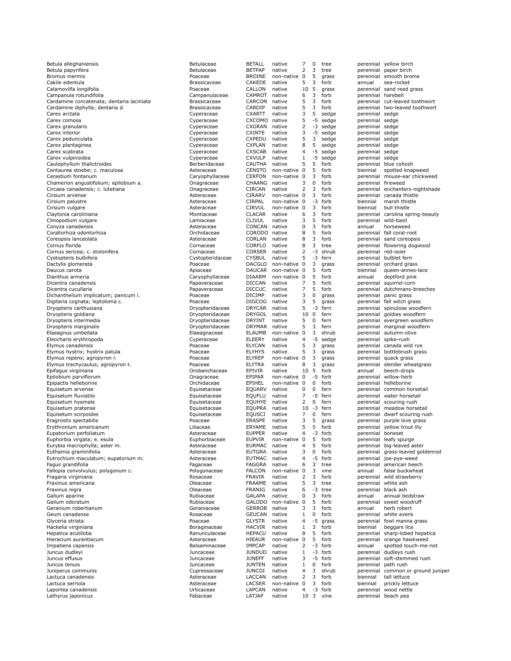| Betula alleghaniensis                               | Betulaceae                  | <b>BETALL</b>                  | native                       | 7                    | 0           | tree           |                                    | perennial yellow birch                                       |
|-----------------------------------------------------|-----------------------------|--------------------------------|------------------------------|----------------------|-------------|----------------|------------------------------------|--------------------------------------------------------------|
| Betula papyrifera                                   | Betulaceae                  | <b>BETPAP</b>                  | native                       | 2                    | 3           | tree           |                                    | perennial paper birch                                        |
| Bromus inermis                                      | Poaceae                     | <b>BROINE</b>                  | non-native 0                 | 5                    | 5<br>3      | grass          |                                    | perennial smooth brome                                       |
| Cakile edentula<br>Calamovilfa longifolia           | Brassicaceae<br>Poaceae     | CAKEDE<br>CALLON               | native<br>native             | 10                   | 5           | forb<br>grass  | annual                             | sea-rocket<br>perennial sand reed grass                      |
| Campanula rotundifolia                              | Campanulaceae               | CAMROT                         | native                       | 6                    | 3           | forb           | perennial harebell                 |                                                              |
| Cardamine concatenata; dentaria laciniata           | Brassicaceae                | CARCON                         | native                       | 5                    | 3           | forb           |                                    | perennial cut-leaved toothwort                               |
| Cardamine diphylla; dentaria d.                     | Brassicaceae                | CARDIP                         | native                       | 5                    | 3           | forb           |                                    | perennial two-leaved toothwort                               |
| Carex arctata                                       | Cyperaceae                  | <b>CXARTT</b>                  | native                       | 3                    | 5           | sedge          | perennial sedge                    |                                                              |
| Carex comosa                                        | Cyperaceae                  | <b>CXCOMO</b>                  | native                       | 5                    | -5          | sedge          | perennial sedge                    |                                                              |
| Carex granularis                                    | Cyperaceae                  | CXGRAN                         | native                       | 2                    | -3          | sedge          | perennial sedge                    |                                                              |
| Carex interior                                      | Cyperaceae                  | <b>CXINTE</b>                  | native                       | 3                    | -5          | sedge          | perennial sedge                    |                                                              |
| Carex pedunculata<br>Carex plantaginea              | Cyperaceae                  | <b>CXPEDU</b><br><b>CXPLAN</b> | native<br>native             | 5<br>8               | 3<br>5      | sedge<br>sedge | perennial sedge<br>perennial sedge |                                                              |
| Carex scabrata                                      | Cyperaceae<br>Cyperaceae    | <b>CXSCAB</b>                  | native                       | 4                    | -5          | sedge          | perennial sedge                    |                                                              |
| Carex vulpinoidea                                   | Cyperaceae                  | <b>CXVULP</b>                  | native                       | $\mathbf{1}$         | -5          | sedge          | perennial sedge                    |                                                              |
| Caulophyllum thalictroides                          | Berberidaceae               | CAUTHA                         | native                       | 5                    | 5           | forb           |                                    | perennial blue cohosh                                        |
| Centaurea stoebe; c. maculosa                       | Asteraceae                  | <b>CENSTO</b>                  | non-native 0                 |                      | 5           | forb           | biennial                           | spotted knapweed                                             |
| Cerastium fontanum                                  | Caryophyllaceae             | <b>CERFON</b>                  | non-native 0                 |                      | 3           | forb           |                                    | perennial mouse-ear chickweed                                |
| Chamerion angustifolium; epilobium a.               | Onagraceae                  | CHAANG                         | native                       | 3                    | $\mathbf 0$ | forb           | perennial fireweed                 |                                                              |
| Circaea canadensis; c. lutetiana                    | Onagraceae                  | CIRCAN                         | native                       | 2                    | 3           | forb           |                                    | perennial enchanters-nightshade                              |
| Cirsium arvense                                     | Asteraceae                  | CIRARV                         | non-native 0                 |                      | 3           | forb           | perennial                          | canada thistle                                               |
| Cirsium palustre                                    | Asteraceae                  | CIRPAL                         | non-native 0<br>non-native 0 |                      | -3<br>3     | forb<br>forb   | biennial                           | marsh thistle                                                |
| Cirsium vulgare<br>Claytonia caroliniana            | Asteraceae<br>Montiaceae    | <b>CIRVUL</b><br><b>CLACAR</b> | native                       | 6                    | 3           | forb           | biennial                           | bull thistle<br>perennial carolina spring-beauty             |
| Clinopodium vulgare                                 | Lamiaceae                   | <b>CLIVUL</b>                  | native                       | 3                    | 5           | forb           | perennial                          | wild-basil                                                   |
| Conyza canadensis                                   | Asteraceae                  | CONCAN                         | native                       | 0                    | 3           | forb           | annual                             | horseweed                                                    |
| Corallorhiza odontorhiza                            | Orchidaceae                 | <b>CORODO</b>                  | native                       | 8                    | 5           | forb           |                                    | perennial fall coral-root                                    |
| Coreopsis lanceolata                                | Asteraceae                  | CORLAN                         | native                       | 8                    | 3           | forb           |                                    | perennial sand coreopsis                                     |
| Cornus florida                                      | Cornaceae                   | CORFLO                         | native                       | 8                    | 3           | tree           |                                    | perennial flowering dogwood                                  |
| Cornus sericea; c. stolonifera                      | Cornaceae                   | <b>CORSER</b>                  | native                       | 2                    | $-3$        | shrub          | perennial red-osier                |                                                              |
| Cystopteris bulbifera                               | Cystopteridaceae            | <b>CYSBUL</b>                  | native                       | 5                    | $-3$        | fern           |                                    | perennial bulblet fern                                       |
| Dactylis glomerata                                  | Poaceae                     | <b>DACGLO</b>                  | non-native 0                 |                      | 3           | grass          |                                    | perennial orchard grass                                      |
| Daucus carota                                       | Apiaceae<br>Caryophyllaceae | <b>DAUCAR</b>                  | non-native 0<br>non-native 0 |                      | 5<br>5      | forb<br>forb   | biennial                           | queen-annes-lace                                             |
| Dianthus armeria<br>Dicentra canadensis             | Papaveraceae                | DIAARM<br><b>DICCAN</b>        | native                       | 7                    | 5           | forb           | annual                             | deptford pink<br>perennial squirrel-corn                     |
| Dicentra cucullaria                                 | Papaveraceae                | <b>DICCUC</b>                  | native                       | 7                    | 5           | forb           | perennial                          | dutchmans-breeches                                           |
| Dichanthelium implicatum; panicum i.                | Poaceae                     | <b>DICIMP</b>                  | native                       | 3                    | 0           | grass          |                                    | perennial panic grass                                        |
| Digitaria cognata; leptoloma c.                     | Poaceae                     | <b>DIGCOG</b>                  | native                       | 3                    | 5           | grass          |                                    | perennial fall witch grass                                   |
| Dryopteris carthusiana                              | Dryopteridaceae             | <b>DRYCAR</b>                  | native                       | 5                    | $-3$        | fern           |                                    | perennial spinulose woodfern                                 |
| Dryopteris goldiana                                 | Dryopteridaceae             | <b>DRYGOL</b>                  | native                       | 10                   | $\mathbf 0$ | fern           |                                    | perennial goldies woodfern                                   |
| Dryopteris intermedia                               | Dryopteridaceae             | DRYINT                         | native                       | 5                    | $\mathbf 0$ | fern           |                                    | perennial evergreen woodfern                                 |
| Dryopteris marginalis                               | Dryopteridaceae             | <b>DRYMAR</b>                  | native                       | 5                    | 3           | fern           |                                    | perennial marginal woodfern                                  |
| Elaeagnus umbellata                                 | Elaeagnaceae                | <b>ELAUMB</b>                  | non-native 0                 |                      | 3           | shrub          |                                    | perennial autumn-olive                                       |
| Eleocharis erythropoda                              | Cyperaceae                  | <b>ELEERY</b>                  | native                       | 4<br>5               | -5          | sedge          |                                    | perennial spike-rush                                         |
| Elymus canadensis<br>Elymus hystrix; hystrix patula | Poaceae<br>Poaceae          | <b>ELYCAN</b><br><b>ELYHYS</b> | native<br>native             | 5                    | 3<br>3      | grass<br>grass |                                    | perennial canada wild rye<br>perennial bottlebrush grass     |
| Elymus repens; agropyron r.                         | Poaceae                     | <b>ELYREP</b>                  | non-native 0                 |                      | 3           | grass          |                                    | perennial quack grass                                        |
| Elymus trachycaulus; agropyron t.                   | Poaceae                     | <b>ELYTRA</b>                  | native                       | 8                    | 3           | grass          |                                    | perennial slender wheatgrass                                 |
| Epifagus virginiana                                 | Orobanchaceae               | EPIVIR                         | native                       | 10 5                 |             | forb           | annual                             | beech-drops                                                  |
| Epilobium parviflorum                               | Onagraceae                  | EPIPAR                         | non-native 0                 |                      | -5          | forb           |                                    | perennial willow-herb                                        |
| Epipactis helleborine                               | Orchidaceae                 | EPIHEL                         | non-native 0                 |                      | 0           | forb           |                                    | perennial helleborine                                        |
| Equisetum arvense                                   | Equisetaceae                | EQUARV                         | native                       | 0                    | 0           | fern           |                                    | perennial common horsetail                                   |
| Equisetum fluviatile                                | Equisetaceae                | <b>EQUFLU</b>                  | native                       | 7                    | -5          | fern           |                                    | perennial water horsetail                                    |
| Equisetum hyemale                                   | Equisetaceae                | <b>EQUHYE</b>                  | native                       | $\overline{2}$       | 0           | fern           |                                    | perennial scouring rush                                      |
| Equisetum pratense                                  | Equisetaceae                | <b>EQUPRA</b>                  | native                       | 10                   | -3          | fern           |                                    | perennial meadow horsetail                                   |
| Equisetum scirpoides<br>Eragrostis spectabilis      | Equisetaceae<br>Poaceae     | <b>EQUSCI</b><br>ERASPE        | native<br>native             | 7<br>3               | 0<br>5      | fern<br>grass  |                                    | perennial dwarf scouring rush<br>perennial purple love grass |
| Erythronium americanum                              | Liliaceae                   | ERYAME                         | native                       | 5                    | 5           | forb           |                                    | perennial yellow trout lily                                  |
| Eupatorium perfoliatum                              | Asteraceae                  | <b>EUPPER</b>                  | native                       | 4                    |             | -3 forb        | perennial boneset                  |                                                              |
| Euphorbia virgata; e. esula                         | Euphorbiaceae               | <b>EUPVIR</b>                  | non-native 0                 |                      | 5           | forb           |                                    | perennial leafy spurge                                       |
| Eurybia macrophylla; aster m.                       | Asteraceae                  | <b>EURMAC</b>                  | native                       | 4                    | 5           | forb           |                                    | perennial big-leaved aster                                   |
| Euthamia graminifolia                               | Asteraceae                  | <b>EUTGRA</b>                  | native                       | 3                    | 0           | forb           |                                    | perennial grass-leaved goldenrod                             |
| Eutrochium maculatum; eupatorium m.                 | Asteraceae                  | <b>EUTMAC</b>                  | native                       | 4                    | -5          | forb           |                                    | perennial joe-pye-weed                                       |
| Fagus grandifolia                                   | Fagaceae                    | FAGGRA                         | native                       | 6                    | 3           | tree           |                                    | perennial american beech                                     |
| Fallopia convolvulus; polygonum c.                  | Polygonaceae                | <b>FALCON</b>                  | non-native 0                 |                      | 3           | vine           | annual                             | false buckwheat                                              |
| Fragaria virginiana<br>Fraxinus americana           | Rosaceae                    | <b>FRAVIR</b>                  | native                       | 2<br>5               | 3<br>3      | forb<br>tree   |                                    | perennial wild strawberry<br>perennial white ash             |
| Fraxinus nigra                                      | Oleaceae<br>Oleaceae        | FRAAME<br>FRANIG               | native<br>native             | 6                    | -3          | tree           | perennial black ash                |                                                              |
| Galium aparine                                      | Rubiaceae                   | <b>GALAPA</b>                  | native                       | 0                    | 3           | forb           | annual                             | annual bedstraw                                              |
| Galium odoratum                                     | Rubiaceae                   | <b>GALODO</b>                  | non-native 0                 |                      | 5           | forb           |                                    | perennial sweet woodruff                                     |
| Geranium robertianum                                | Geraniaceae                 | <b>GERROB</b>                  | native                       | 3                    | 3           | forb           | annual                             | herb robert                                                  |
| Geum canadense                                      | Rosaceae                    | <b>GEUCAN</b>                  | native                       | $\mathbf{1}$         | 0           | forb           |                                    | perennial white avens                                        |
| Glyceria striata                                    | Poaceae                     | <b>GLYSTR</b>                  | native                       | 4                    | -5          | grass          |                                    | perennial fowl manna grass                                   |
| Hackelia virginiana                                 | Boraginaceae                | <b>HACVIR</b>                  | native                       | 1                    | 3           | forb           | biennial                           | beggars lice                                                 |
| Hepatica acutiloba                                  | Ranunculaceae               | <b>HEPACU</b>                  | native                       | 8                    | 5           | forb           |                                    | perennial sharp-lobed hepatica                               |
| Hieracium aurantiacum                               | Asteraceae                  | <b>HIEAUR</b>                  | non-native 0                 |                      | 5           | forb           |                                    | perennial orange hawkweed                                    |
| Impatiens capensis                                  | Balsaminaceae               | <b>IMPCAP</b>                  | native                       | 2                    | -3          | forb           | annual                             | spotted touch-me-not                                         |
| Juncus dudleyi<br>Juncus effusus                    | Juncaceae<br>Juncaceae      | <b>JUNDUD</b><br><b>JUNEFF</b> | native<br>native             | 1<br>3               | $-3$<br>-5  | forb<br>forb   |                                    | perennial dudleys rush<br>perennial soft-stemmed rush        |
| Juncus tenuis                                       | Juncaceae                   | <b>JUNTEN</b>                  | native                       | $\mathbf{1}$         | 0           | forb           | perennial                          | path rush                                                    |
| Juniperus communis                                  | Cupressaceae                | <b>JUNCOI</b>                  | native                       | 4                    | 3           | shrub          | perennial                          | common or ground juniper                                     |
| Lactuca canadensis                                  | Asteraceae                  | LACCAN                         | native                       | 2                    | 3           | forb           | biennial                           | tall lettuce                                                 |
| Lactuca serriola                                    | Asteraceae                  | LACSER                         | non-native 0                 |                      | 3           | forb           | biennial                           | prickly lettuce                                              |
|                                                     |                             |                                |                              |                      |             |                |                                    |                                                              |
| Laportea canadensis<br>Lathyrus japonicus           | Urticaceae<br>Fabaceae      | LAPCAN<br>LATJAP               | native<br>native             | 4<br>10 <sub>3</sub> | $-3$        | forb<br>vine   |                                    | perennial wood nettle<br>perennial beach pea                 |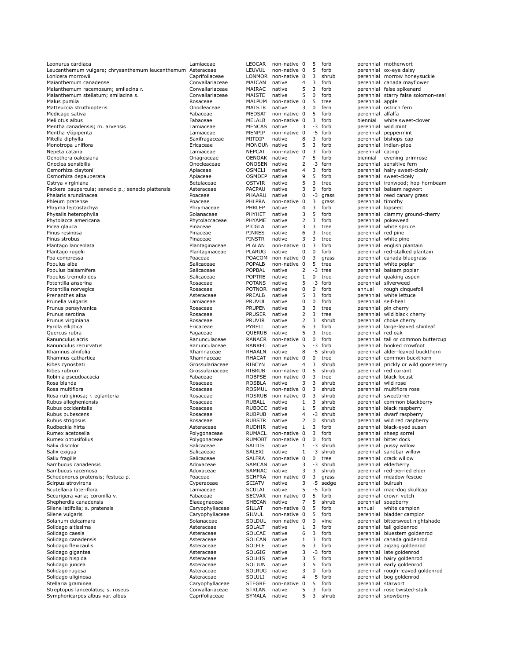| Leonurus cardiaca                                  | Lamiaceae                  | <b>LEOCAR</b>                  | non-native 0           |                | 5           | forb           |                     | perennial motherwort                                     |
|----------------------------------------------------|----------------------------|--------------------------------|------------------------|----------------|-------------|----------------|---------------------|----------------------------------------------------------|
| Leucanthemum vulgare; chrysanthemum leucanthemum   | Asteraceae                 | LEUVUL                         | non-native 0           |                | 5           | forb           |                     | perennial ox-eye daisy                                   |
| Lonicera morrowii                                  | Caprifoliaceae             | <b>LONMOR</b>                  | non-native 0           |                | 3           | shrub          |                     | perennial morrow honeysuckle                             |
| Maianthemum canadense                              | Convallariaceae            | MAICAN                         | native                 | 4              | 3           | forb           |                     | perennial canada mayflower                               |
| Maianthemum racemosum; smilacina r.                | Convallariaceae            | MAIRAC                         | native                 | 5              | 3           | forb           |                     | perennial false spikenard                                |
| Maianthemum stellatum; smilacina s.                | Convallariaceae            | MAISTE                         | native                 | 5              | $\mathbf 0$ | forb           |                     | perennial starry false solomon-seal                      |
| Malus pumila                                       | Rosaceae                   | MALPUM                         | non-native 0           |                | 5           | tree           | perennial           | apple                                                    |
| Matteuccia struthiopteris                          | Onocleaceae                | <b>MATSTR</b>                  | native                 | 3              | $\mathbf 0$ | fern           |                     | perennial ostrich fern                                   |
| Medicago sativa                                    | Fabaceae                   | MEDSAT                         | non-native 0           |                | 5           | forb           | perennial           | alfalfa                                                  |
| Melilotus albus                                    | Fabaceae                   | MELALB                         | non-native 0           |                | 3           | forb           | biennial            | white sweet-clover                                       |
| Mentha canadensis; m. arvensis                     | Lamiaceae                  | <b>MENCAS</b>                  | native                 | 3              | $-3$        | forb           |                     | perennial wild mint                                      |
| Mentha √ópiperita                                  | Lamiaceae                  | MENPIP                         | non-native 0           |                | $-5$        | forb           |                     | perennial peppermint                                     |
| Mitella diphylla                                   | Saxifragaceae              | MITDIP                         | native                 | 8              | 3           | forb           |                     | perennial bishops-cap                                    |
| Monotropa uniflora                                 | Ericaceae                  | MONOUN native                  |                        | 5              | 3           | forb           |                     | perennial indian-pipe                                    |
| Nepeta cataria                                     | Lamiaceae                  | <b>NEPCAT</b>                  | non-native 0           |                | 3           | forb           | perennial           | catnip                                                   |
| Oenothera oakesiana                                | Onagraceae                 | OENOAK native                  |                        | 7              | 5           | forb           | biennial            | evening-primrose                                         |
| Onoclea sensibilis                                 | Onocleaceae                | <b>ONOSEN</b>                  | native                 | 2              | $-3$        | fern           |                     | perennial sensitive fern                                 |
| Osmorhiza claytonii                                | Apiaceae                   | <b>OSMCLI</b>                  | native                 | $\overline{4}$ | 3           | forb           |                     | perennial hairy sweet-cicely                             |
| Osmorhiza depauperata                              | Apiaceae                   | <b>OSMDEP</b>                  | native                 | 9              | 5           | forb           |                     | perennial sweet-cicely                                   |
| Ostrya virginiana                                  | Betulaceae                 | <b>OSTVIR</b>                  | native                 | 5              | 3           | tree           |                     | perennial ironwood; hop-hornbeam                         |
| Packera paupercula; senecio p.; senecio plattensis | Asteraceae                 | PACPAU                         | native                 | 3              | $\mathbf 0$ | forb           |                     | perennial balsam ragwort                                 |
| Phalaris arundinacea                               | Poaceae                    | PHAARU                         | native                 | 0              | -3          | grass          |                     | perennial reed canary grass                              |
| Phleum pratense                                    | Poaceae                    | PHLPRA                         | non-native 0           |                | 3           | grass          | perennial timothy   |                                                          |
| Phryma leptostachya                                | Phrymaceae                 | PHRLEP                         | native                 | 4              | 3           | forb           | perennial lopseed   |                                                          |
| Physalis heterophylla                              | Solanaceae                 | PHYHET                         | native                 | 3              | 5           | forb           |                     | perennial clammy ground-cherry                           |
| Phytolacca americana                               | Phytolaccaceae             | PHYAME                         | native                 | $\overline{2}$ | 3           | forb           | perennial           | pokeweed                                                 |
| Picea glauca                                       | Pinaceae                   | PICGLA                         | native                 | 3              | 3           | tree           |                     | perennial white spruce                                   |
| Pinus resinosa                                     | Pinaceae                   | PINRES                         | native                 | 6              | 3           | tree           | perennial red pine  |                                                          |
| Pinus strobus                                      | Pinaceae                   | <b>PINSTR</b>                  | native                 | 3              | 3           | tree           |                     | perennial white pine                                     |
| Plantago lanceolata                                | Plantaginaceae             | PLALAN                         | non-native 0           |                | 3           | forb           |                     | perennial english plantain                               |
| Plantago rugelii                                   | Plantaginaceae             | PLARUG                         | native                 | 0              | $\mathbf 0$ | forb           |                     | perennial red-stalked plantain                           |
| Poa compressa                                      | Poaceae                    | POACOM                         | non-native 0           |                | 3           | grass          |                     | perennial canada bluegrass                               |
| Populus alba                                       | Salicaceae                 | <b>POPALB</b>                  | non-native 0           |                | 5           | tree           |                     | perennial white poplar                                   |
| Populus balsamifera                                | Salicaceae                 | POPBAL                         | native                 | $\overline{2}$ | $-3$        | tree           |                     | perennial balsam poplar                                  |
| Populus tremuloides                                | Salicaceae                 | <b>POPTRE</b>                  | native                 | 1              | 0           | tree           |                     | perennial quaking aspen                                  |
| Potentilla anserina                                | Rosaceae                   | <b>POTANS</b>                  | native                 | 5              | $-3$        | forb           |                     | perennial silverweed                                     |
| Potentilla norvegica                               | Rosaceae                   | <b>POTNOR</b>                  | native                 | 0              | $\mathbf 0$ | forb           | annual              | rough cinquefoil                                         |
| Prenanthes alba                                    | Asteraceae                 | PREALB                         | native                 | 5              | 3           | forb           |                     | perennial white lettuce                                  |
| Prunella vulgaris                                  | Lamiaceae                  | PRUVUL                         | native                 | 0              | 0           | forb           | perennial self-heal |                                                          |
| Prunus pensylvanica                                | Rosaceae                   | <b>PRUPEN</b>                  | native                 | 3              | 3           | tree           |                     | perennial pin cherry                                     |
| Prunus serotina                                    | Rosaceae                   | <b>PRUSER</b>                  | native                 | 2              | 3           | tree           |                     | perennial wild black cherry                              |
| Prunus virginiana                                  | Rosaceae                   | PRUVIR                         | native                 | $\overline{2}$ | 3           | shrub          |                     | perennial choke cherry                                   |
| Pyrola elliptica                                   | Ericaceae                  | PYRELL                         | native                 | 6              | 3           | forb           |                     | perennial large-leaved shinleaf                          |
| Quercus rubra                                      | Fagaceae                   | QUERUB                         | native                 | 5              | 3           | tree           | perennial red oak   |                                                          |
| Ranunculus acris                                   | Ranunculaceae              | RANACR                         | non-native 0           |                | $\mathbf 0$ | forb           |                     | perennial tall or common buttercup                       |
| Ranunculus recurvatus                              | Ranunculaceae              | RANREC                         | native                 | 5              | -3          | forb           |                     | perennial hooked crowfoot                                |
| Rhamnus alnifolia                                  | Rhamnaceae                 | RHAALN                         | native                 | 8              | -5          | shrub          |                     | perennial alder-leaved buckthorn                         |
| Rhamnus cathartica                                 | Rhamnaceae                 | RHACAT                         | non-native 0           |                | $\mathbf 0$ | tree           |                     | perennial common buckthorn                               |
| Ribes cynosbati                                    | Grossulariaceae            | RIBCYN                         | native                 | 4              | 3           | shrub          |                     | perennial prickly or wild gooseberry                     |
| Ribes rubrum                                       | Grossulariaceae            | RIBRUB                         | non-native 0           |                | 5           | shrub          |                     | perennial red currant                                    |
| Robinia pseudoacacia                               | Fabaceae                   | <b>ROBPSE</b>                  | non-native 0           |                | 3<br>3      | tree           |                     | perennial black locust                                   |
| Rosa blanda                                        | Rosaceae<br>Rosaceae       | <b>ROSBLA</b>                  | native                 | 3              | 3           | shrub          | perennial wild rose |                                                          |
| Rosa multiflora                                    |                            | <b>ROSMUL</b><br><b>ROSRUB</b> | non-native 0           |                | 3           | shrub<br>shrub |                     | perennial multiflora rose                                |
| Rosa rubiginosa; r. eglanteria                     | Rosaceae                   |                                | non-native 0<br>native | 1              | 3           | shrub          |                     | perennial sweetbrier                                     |
| Rubus allegheniensis<br>Rubus occidentalis         | Rosaceae                   | RUBALL<br><b>RUBOCC</b>        | native                 | $\mathbf{1}$   | 5           | shrub          |                     | perennial common blackberry<br>perennial black raspberry |
|                                                    | Rosaceae<br>Rosaceae       |                                | native                 | 4              | $-3$        | shrub          |                     |                                                          |
| Rubus pubescens                                    |                            | <b>RUBPUB</b><br><b>RUBSTR</b> | native                 | 2              | $\mathbf 0$ | shrub          |                     | perennial dwarf raspberry                                |
| Rubus strigosus                                    | Rosaceae                   |                                | native                 | $\mathbf{1}$   | 3           | forb           |                     | perennial wild red raspberry                             |
| Rudbeckia hirta<br>Rumex acetosella                | Asteraceae<br>Polygonaceae | <b>RUDHIR</b><br>RUMACL        | non-native 0           |                | 3           | forb           |                     | perennial black-eyed susan<br>perennial sheep sorrel     |
| Rumex obtusifolius                                 | Polygonaceae               | <b>RUMOBT</b>                  | non-native 0           |                | 0           | forb           |                     | perennial bitter dock                                    |
| Salix discolor                                     | Salicaceae                 | SALDIS                         | native                 | 1              | -3          | shrub          |                     | perennial pussy willow                                   |
| Salix exigua                                       | Salicaceae                 | SALEXI                         | native                 | 1              | $-3$        | shrub          | perennial           | sandbar willow                                           |
| Salix fragilis                                     | Salicaceae                 | <b>SALFRA</b>                  | non-native 0           |                | 0           | tree           |                     | perennial crack willow                                   |
| Sambucus canadensis                                | Adoxaceae                  | SAMCAN                         | native                 | 3              | $-3$        | shrub          | perennial           | elderberry                                               |
| Sambucus racemosa                                  | Adoxaceae                  | SAMRAC                         | native                 | 3              | 3           | shrub          | perennial           | red-berried elder                                        |
| Schedonorus pratensis; festuca p.                  | Poaceae                    | <b>SCHPRA</b>                  | non-native 0           |                | 3           | grass          | perennial           | meadow fescue                                            |
| Scirpus atrovirens                                 | Cyperaceae                 | <b>SCIATV</b>                  | native                 | 3              | -5          | sedge          | perennial           | bulrush                                                  |
| Scutellaria lateriflora                            | Lamiaceae                  | <b>SCULAT</b>                  | native                 | 5              | -5          | forb           | perennial           | mad-dog skullcap                                         |
| Securigera varia; coronilla v.                     | Fabaceae                   | <b>SECVAR</b>                  | non-native 0           |                | 5           | forb           | perennial           | crown-vetch                                              |
| Shepherdia canadensis                              | Elaeagnaceae               | SHECAN                         | native                 | 7              | 5           | shrub          | perennial           | soapberry                                                |
| Silene latifolia; s. pratensis                     | Caryophyllaceae            | <b>SILLAT</b>                  | non-native 0           |                | 5           | forb           | annual              | white campion                                            |
| Silene vulgaris                                    | Caryophyllaceae            | <b>SILVUL</b>                  | non-native 0           |                | 5           | forb           |                     | perennial bladder campion                                |
| Solanum dulcamara                                  | Solanaceae                 | SOLDUL                         | non-native 0           |                | $\mathbf 0$ | vine           |                     | perennial bittersweet nightshade                         |
| Solidago altissima                                 | Asteraceae                 | SOLALT                         | native                 | 1              | 3           | forb           | perennial           | tall goldenrod                                           |
| Solidago caesia                                    | Asteraceae                 | <b>SOLCAE</b>                  | native                 | 6              | 3           | forb           |                     | perennial bluestem goldenrod                             |
| Solidago canadensis                                |                            |                                | native                 | 1              | 3           | forb           |                     | perennial canada goldenrod                               |
| Solidago flexicaulis                               |                            |                                |                        |                |             |                |                     |                                                          |
|                                                    | Asteraceae                 | SOLCAN                         |                        | 6              | 3           | forb           |                     |                                                          |
| Solidago gigantea                                  | Asteraceae<br>Asteraceae   | SOLFLE<br>SOLGIG               | native<br>native       | 3              | $-3$        | forb           | perennial           | perennial zigzag goldenrod<br>late goldenrod             |
| Solidago hispida                                   | Asteraceae                 | SOLHIS                         | native                 | 3              | 5           | forb           |                     | perennial hairy goldenrod                                |
| Solidago juncea                                    | Asteraceae                 | SOLJUN                         | native                 | 3              | 5           | forb           | perennial           | early goldenrod                                          |
| Solidago rugosa                                    | Asteraceae                 | SOLRUG                         | native                 | 3              | $\mathbf 0$ | forb           | perennial           | rough-leaved goldenrod                                   |
| Solidago uliginosa                                 | Asteraceae                 | SOLULI                         | native                 | $\overline{4}$ | -5          | forb           | perennial           | bog goldenrod                                            |
| Stellaria graminea                                 | Caryophyllaceae            | <b>STEGRE</b>                  | non-native 0           |                | 5           | forb           | perennial starwort  |                                                          |
| Streptopus lanceolatus; s. roseus                  | Convallariaceae            | STRLAN                         | native                 | 5              | 3           | forb           |                     | perennial rose twisted-stalk                             |